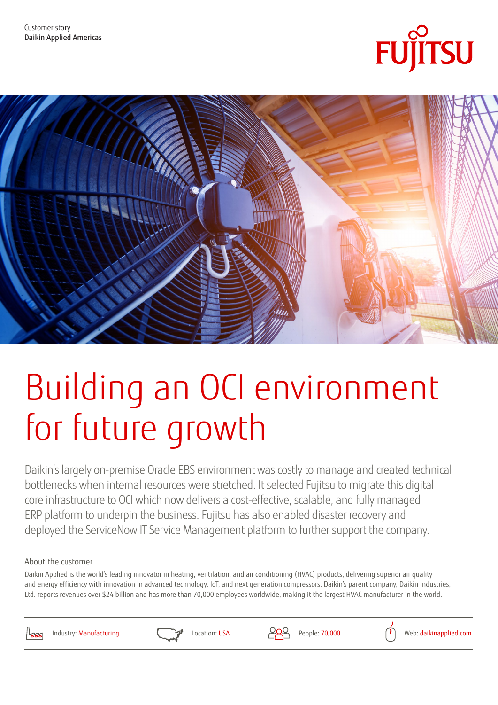



# Building an OCI environment for future growth

Daikin's largely on-premise Oracle EBS environment was costly to manage and created technical bottlenecks when internal resources were stretched. It selected Fujitsu to migrate this digital core infrastructure to OCI which now delivers a cost-effective, scalable, and fully managed ERP platform to underpin the business. Fujitsu has also enabled disaster recovery and deployed the ServiceNow IT Service Management platform to further support the company.

### About the customer

Daikin Applied is the world's leading innovator in heating, ventilation, and air conditioning (HVAC) products, delivering superior air quality and energy efficiency with innovation in advanced technology, IoT, and next generation compressors. Daikin's parent company, Daikin Industries, Ltd. reports revenues over \$24 billion and has more than 70,000 employees worldwide, making it the largest HVAC manufacturer in the world.